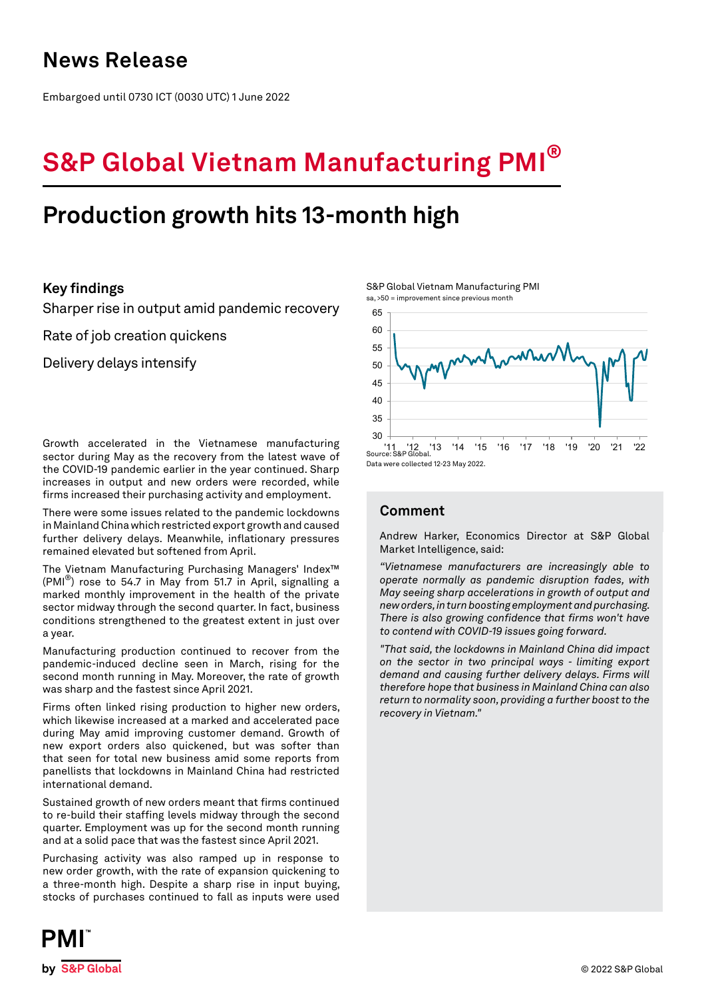## **News Release**

Embargoed until 0730 ICT (0030 UTC) 1 June 2022

# **S&P Global Vietnam Manufacturing PMI®**

## **Production growth hits 13-month high**

## **Key findings**

Sharper rise in output amid pandemic recovery

Rate of job creation quickens

Delivery delays intensify

Growth accelerated in the Vietnamese manufacturing sector during May as the recovery from the latest wave of the COVID-19 pandemic earlier in the year continued. Sharp increases in output and new orders were recorded, while firms increased their purchasing activity and employment.

There were some issues related to the pandemic lockdowns in Mainland China which restricted export growth and caused further delivery delays. Meanwhile, inflationary pressures remained elevated but softened from April.

The Vietnam Manufacturing Purchasing Managers' Index™  $(PMI^{\omega})$  rose to 54.7 in May from 51.7 in April, signalling a marked monthly improvement in the health of the private sector midway through the second quarter. In fact, business conditions strengthened to the greatest extent in just over a year.

Manufacturing production continued to recover from the pandemic-induced decline seen in March, rising for the second month running in May. Moreover, the rate of growth was sharp and the fastest since April 2021.

Firms often linked rising production to higher new orders, which likewise increased at a marked and accelerated pace during May amid improving customer demand. Growth of new export orders also quickened, but was softer than that seen for total new business amid some reports from panellists that lockdowns in Mainland China had restricted international demand.

Sustained growth of new orders meant that firms continued to re-build their staffing levels midway through the second quarter. Employment was up for the second month running and at a solid pace that was the fastest since April 2021.

Purchasing activity was also ramped up in response to new order growth, with the rate of expansion quickening to a three-month high. Despite a sharp rise in input buying, stocks of purchases continued to fall as inputs were used

S&P Global Vietnam Manufacturing PMI sa, >50 = improvement since previous month



Data were collected 12-23 May 2022.

## **Comment**

Andrew Harker, Economics Director at S&P Global Market Intelligence, said:

*"Vietnamese manufacturers are increasingly able to operate normally as pandemic disruption fades, with May seeing sharp accelerations in growth of output and new orders, in turn boosting employment and purchasing. There is also growing confidence that firms won't have to contend with COVID-19 issues going forward.* 

*"That said, the lockdowns in Mainland China did impact on the sector in two principal ways - limiting export demand and causing further delivery delays. Firms will therefore hope that business in Mainland China can also return to normality soon, providing a further boost to the recovery in Vietnam."*